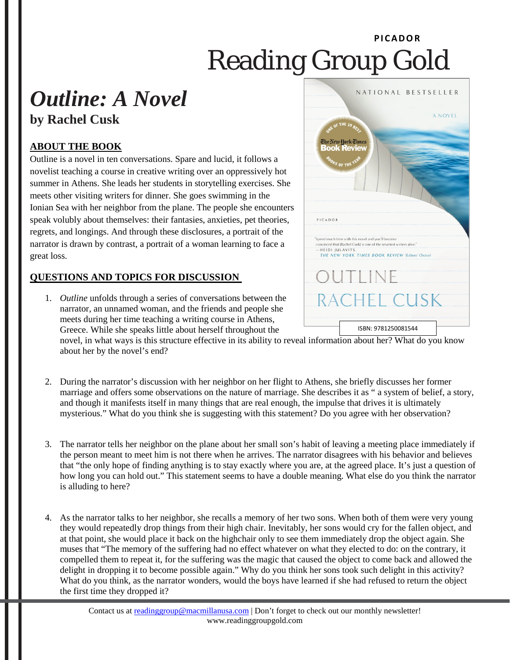## **PI CADOR** Reading Group Gold

## *Outline: A Novel* **by Rachel Cusk**

## **ABOUT THE BOOK**

Outline is a novel in ten conversations. Spare and lucid, it follows a novelist teaching a course in creative writing over an oppressively hot summer in Athens. She leads her students in storytelling exercises. She meets other visiting writers for dinner. She goes swimming in the Ionian Sea with her neighbor from the plane. The people she encounters speak volubly about themselves: their fantasies, anxieties, pet theories, regrets, and longings. And through these disclosures, a portrait of the narrator is drawn by contrast, a portrait of a woman learning to face a great loss.

## **QUESTIONS AND TOPICS FOR DISCUSSION**

1. *Outline* unfolds through a series of conversations between the narrator, an unnamed woman, and the friends and people she meets during her time teaching a writing course in Athens, Greece. While she speaks little about herself throughout the

NATIONAL BESTSELLER A NOVEL <sup>E</sup>he New <mark>York T</mark>imes **Jook Revier** PICADOR Spend much time with this novel and you'll becomwinced that [Rachel Cusk] is one of the smartest writers alive. -HEIDI JULAVITS, THE NEW YORK TIMES BOOK REVIEW (Editors' Choic  $\bigcup \bigcup \bigcup \bigcup$ RACHEL CUSK ISBN: 9781250081544

novel, in what ways is this structure effective in its ability to reveal information about her? What do you know about her by the novel's end?

- 2. During the narrator's discussion with her neighbor on her flight to Athens, she briefly discusses her former marriage and offers some observations on the nature of marriage. She describes it as " a system of belief, a story, and though it manifests itself in many things that are real enough, the impulse that drives it is ultimately mysterious." What do you think she is suggesting with this statement? Do you agree with her observation?
- 3. The narrator tells her neighbor on the plane about her small son's habit of leaving a meeting place immediately if the person meant to meet him is not there when he arrives. The narrator disagrees with his behavior and believes that "the only hope of finding anything is to stay exactly where you are, at the agreed place. It's just a question of how long you can hold out." This statement seems to have a double meaning. What else do you think the narrator is alluding to here?
- 4. As the narrator talks to her neighbor, she recalls a memory of her two sons. When both of them were very young they would repeatedly drop things from their high chair. Inevitably, her sons would cry for the fallen object, and at that point, she would place it back on the highchair only to see them immediately drop the object again. She muses that "The memory of the suffering had no effect whatever on what they elected to do: on the contrary, it compelled them to repeat it, for the suffering was the magic that caused the object to come back and allowed the delight in dropping it to become possible again." Why do you think her sons took such delight in this activity? What do you think, as the narrator wonders, would the boys have learned if she had refused to return the object the first time they dropped it?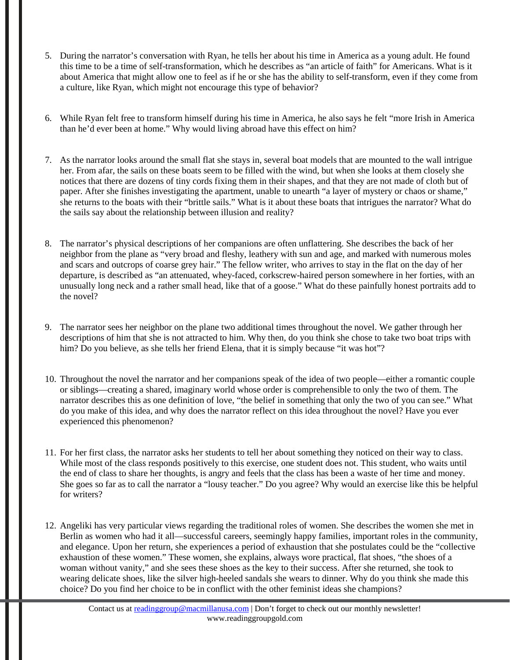- 5. During the narrator's conversation with Ryan, he tells her about his time in America as a young adult. He found this time to be a time of self-transformation, which he describes as "an article of faith" for Americans. What is it about America that might allow one to feel as if he or she has the ability to self-transform, even if they come from a culture, like Ryan, which might not encourage this type of behavior?
- 6. While Ryan felt free to transform himself during his time in America, he also says he felt "more Irish in America than he'd ever been at home." Why would living abroad have this effect on him?
- 7. As the narrator looks around the small flat she stays in, several boat models that are mounted to the wall intrigue her. From afar, the sails on these boats seem to be filled with the wind, but when she looks at them closely she notices that there are dozens of tiny cords fixing them in their shapes, and that they are not made of cloth but of paper. After she finishes investigating the apartment, unable to unearth "a layer of mystery or chaos or shame," she returns to the boats with their "brittle sails." What is it about these boats that intrigues the narrator? What do the sails say about the relationship between illusion and reality?
- 8. The narrator's physical descriptions of her companions are often unflattering. She describes the back of her neighbor from the plane as "very broad and fleshy, leathery with sun and age, and marked with numerous moles and scars and outcrops of coarse grey hair." The fellow writer, who arrives to stay in the flat on the day of her departure, is described as "an attenuated, whey-faced, corkscrew-haired person somewhere in her forties, with an unusually long neck and a rather small head, like that of a goose." What do these painfully honest portraits add to the novel?
- 9. The narrator sees her neighbor on the plane two additional times throughout the novel. We gather through her descriptions of him that she is not attracted to him. Why then, do you think she chose to take two boat trips with him? Do you believe, as she tells her friend Elena, that it is simply because "it was hot"?
- 10. Throughout the novel the narrator and her companions speak of the idea of two people—either a romantic couple or siblings—creating a shared, imaginary world whose order is comprehensible to only the two of them. The narrator describes this as one definition of love, "the belief in something that only the two of you can see." What do you make of this idea, and why does the narrator reflect on this idea throughout the novel? Have you ever experienced this phenomenon?
- 11. For her first class, the narrator asks her students to tell her about something they noticed on their way to class. While most of the class responds positively to this exercise, one student does not. This student, who waits until the end of class to share her thoughts, is angry and feels that the class has been a waste of her time and money. She goes so far as to call the narrator a "lousy teacher." Do you agree? Why would an exercise like this be helpful for writers?
- 12. Angeliki has very particular views regarding the traditional roles of women. She describes the women she met in Berlin as women who had it all—successful careers, seemingly happy families, important roles in the community, and elegance. Upon her return, she experiences a period of exhaustion that she postulates could be the "collective exhaustion of these women." These women, she explains, always wore practical, flat shoes, "the shoes of a woman without vanity," and she sees these shoes as the key to their success. After she returned, she took to wearing delicate shoes, like the silver high-heeled sandals she wears to dinner. Why do you think she made this choice? Do you find her choice to be in conflict with the other feminist ideas she champions?